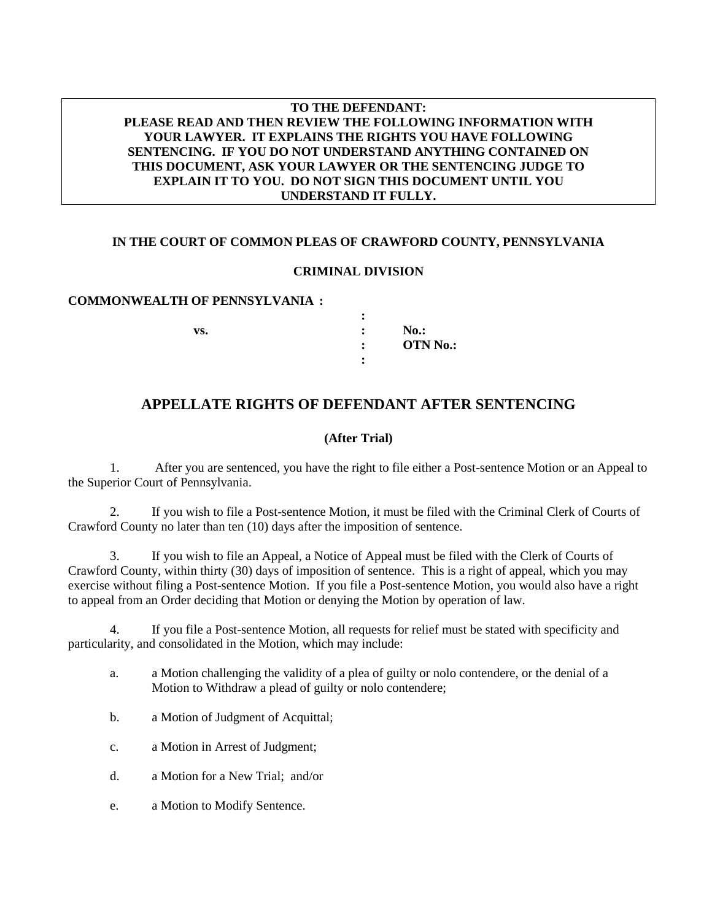## **TO THE DEFENDANT: PLEASE READ AND THEN REVIEW THE FOLLOWING INFORMATION WITH YOUR LAWYER. IT EXPLAINS THE RIGHTS YOU HAVE FOLLOWING SENTENCING. IF YOU DO NOT UNDERSTAND ANYTHING CONTAINED ON THIS DOCUMENT, ASK YOUR LAWYER OR THE SENTENCING JUDGE TO EXPLAIN IT TO YOU. DO NOT SIGN THIS DOCUMENT UNTIL YOU UNDERSTAND IT FULLY.**

## **IN THE COURT OF COMMON PLEAS OF CRAWFORD COUNTY, PENNSYLVANIA**

#### **CRIMINAL DIVISION**

#### **COMMONWEALTH OF PENNSYLVANIA :**

|     | ٠              |                 |
|-----|----------------|-----------------|
| VS. | ٠              | $No.$ :         |
|     | $\bullet$<br>٠ | <b>OTN No.:</b> |
|     |                |                 |

# **APPELLATE RIGHTS OF DEFENDANT AFTER SENTENCING**

## **(After Trial)**

1. After you are sentenced, you have the right to file either a Post-sentence Motion or an Appeal to the Superior Court of Pennsylvania.

2. If you wish to file a Post-sentence Motion, it must be filed with the Criminal Clerk of Courts of Crawford County no later than ten (10) days after the imposition of sentence.

3. If you wish to file an Appeal, a Notice of Appeal must be filed with the Clerk of Courts of Crawford County, within thirty (30) days of imposition of sentence. This is a right of appeal, which you may exercise without filing a Post-sentence Motion. If you file a Post-sentence Motion, you would also have a right to appeal from an Order deciding that Motion or denying the Motion by operation of law.

4. If you file a Post-sentence Motion, all requests for relief must be stated with specificity and particularity, and consolidated in the Motion, which may include:

- a. a Motion challenging the validity of a plea of guilty or nolo contendere, or the denial of a Motion to Withdraw a plead of guilty or nolo contendere;
- b. a Motion of Judgment of Acquittal;
- c. a Motion in Arrest of Judgment;
- d. a Motion for a New Trial; and/or
- e. a Motion to Modify Sentence.